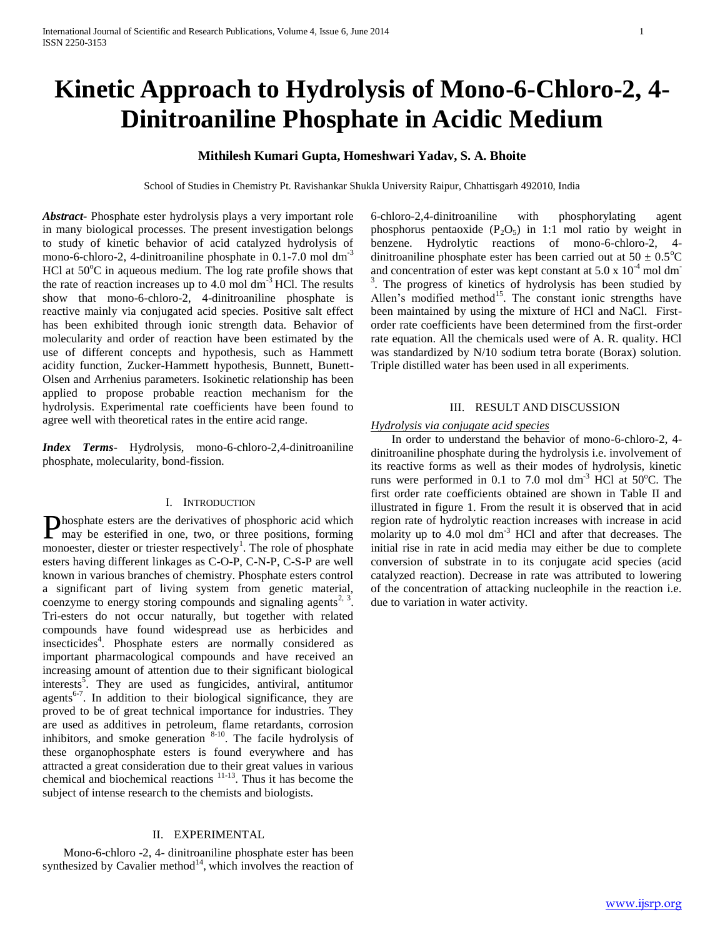# **Kinetic Approach to Hydrolysis of Mono-6-Chloro-2, 4- Dinitroaniline Phosphate in Acidic Medium**

## **Mithilesh Kumari Gupta, Homeshwari Yadav, S. A. Bhoite**

School of Studies in Chemistry Pt. Ravishankar Shukla University Raipur, Chhattisgarh 492010, India

*Abstract***-** Phosphate ester hydrolysis plays a very important role in many biological processes. The present investigation belongs to study of kinetic behavior of acid catalyzed hydrolysis of mono-6-chloro-2, 4-dinitroaniline phosphate in 0.1-7.0 mol dm<sup>-3</sup> HCl at  $50^{\circ}$ C in aqueous medium. The log rate profile shows that the rate of reaction increases up to  $4.0 \text{ mol dm}^{-3}$  HCl. The results show that mono-6-chloro-2, 4-dinitroaniline phosphate is reactive mainly via conjugated acid species. Positive salt effect has been exhibited through ionic strength data. Behavior of molecularity and order of reaction have been estimated by the use of different concepts and hypothesis, such as Hammett acidity function, Zucker-Hammett hypothesis, Bunnett, Bunett-Olsen and Arrhenius parameters. Isokinetic relationship has been applied to propose probable reaction mechanism for the hydrolysis. Experimental rate coefficients have been found to agree well with theoretical rates in the entire acid range.

*Index Terms*- Hydrolysis, mono-6-chloro-2,4-dinitroaniline phosphate, molecularity, bond-fission.

## I. INTRODUCTION

**Phosphate esters are the derivatives of phosphoric acid which** may be esterified in one, two, or three positions, forming may be esterified in one, two, or three positions, forming monoester, diester or triester respectively<sup>1</sup>. The role of phosphate esters having different linkages as C-O-P, C-N-P, C-S-P are well known in various branches of chemistry. Phosphate esters control a significant part of living system from genetic material, coenzyme to energy storing compounds and signaling agents<sup>2, 3</sup>. Tri-esters do not occur naturally, but together with related compounds have found widespread use as herbicides and insecticides<sup>4</sup>. Phosphate esters are normally considered as important pharmacological compounds and have received an increasing amount of attention due to their significant biological interests<sup>5</sup>. They are used as fungicides, antiviral, antitumor agents<sup>6-7</sup>. In addition to their biological significance, they are proved to be of great technical importance for industries. They are used as additives in petroleum, flame retardants, corrosion inhibitors, and smoke generation  $8-10$ . The facile hydrolysis of these organophosphate esters is found everywhere and has attracted a great consideration due to their great values in various chemical and biochemical reactions 11-13. Thus it has become the subject of intense research to the chemists and biologists.

## II. EXPERIMENTAL

 Mono-6-chloro -2, 4- dinitroaniline phosphate ester has been synthesized by Cavalier method $14$ , which involves the reaction of 6-chloro-2,4-dinitroaniline with phosphorylating agent phosphorus pentaoxide  $(P_2O_5)$  in 1:1 mol ratio by weight in benzene. Hydrolytic reactions of mono-6-chloro-2, 4 dinitroaniline phosphate ester has been carried out at  $50 \pm 0.5^{\circ}$ C and concentration of ester was kept constant at  $5.0 \times 10^{-4}$  mol dm<sup>-</sup> <sup>3</sup>. The progress of kinetics of hydrolysis has been studied by Allen's modified method<sup>15</sup>. The constant ionic strengths have been maintained by using the mixture of HCl and NaCl. Firstorder rate coefficients have been determined from the first-order rate equation. All the chemicals used were of A. R. quality. HCl was standardized by N/10 sodium tetra borate (Borax) solution. Triple distilled water has been used in all experiments.

## III. RESULT AND DISCUSSION

## *Hydrolysis via conjugate acid species*

 In order to understand the behavior of mono-6-chloro-2, 4 dinitroaniline phosphate during the hydrolysis i.e. involvement of its reactive forms as well as their modes of hydrolysis, kinetic runs were performed in 0.1 to 7.0 mol dm<sup>-3</sup> HCl at  $50^{\circ}$ C. The first order rate coefficients obtained are shown in Table II and illustrated in figure 1. From the result it is observed that in acid region rate of hydrolytic reaction increases with increase in acid molarity up to  $4.0$  mol dm<sup>-3</sup> HCl and after that decreases. The initial rise in rate in acid media may either be due to complete conversion of substrate in to its conjugate acid species (acid catalyzed reaction). Decrease in rate was attributed to lowering of the concentration of attacking nucleophile in the reaction i.e. due to variation in water activity.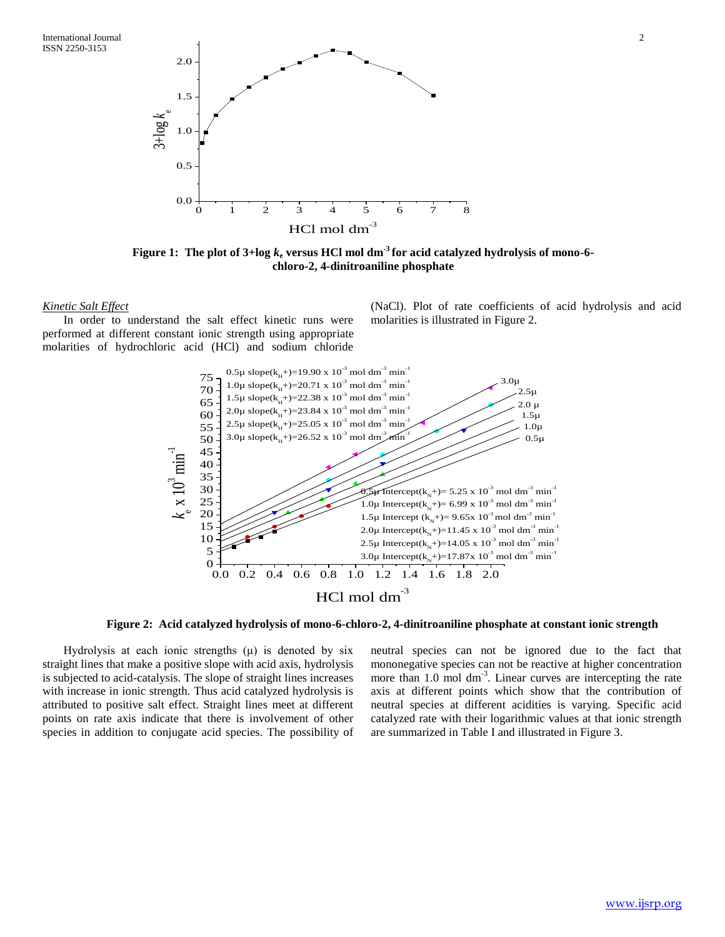

**Figure 1: The plot of 3+log** *k***<sup>e</sup> versus HCl mol dm-3 for acid catalyzed hydrolysis of mono-6 chloro-2, 4-dinitroaniline phosphate**

## *Kinetic Salt Effect*

 In order to understand the salt effect kinetic runs were performed at different constant ionic strength using appropriate molarities of hydrochloric acid (HCl) and sodium chloride (NaCl). Plot of rate coefficients of acid hydrolysis and acid molarities is illustrated in Figure 2.



**Figure 2: Acid catalyzed hydrolysis of mono-6-chloro-2, 4-dinitroaniline phosphate at constant ionic strength**

Hydrolysis at each ionic strengths  $(\mu)$  is denoted by six straight lines that make a positive slope with acid axis, hydrolysis is subjected to acid-catalysis. The slope of straight lines increases with increase in ionic strength. Thus acid catalyzed hydrolysis is attributed to positive salt effect. Straight lines meet at different points on rate axis indicate that there is involvement of other species in addition to conjugate acid species. The possibility of neutral species can not be ignored due to the fact that mononegative species can not be reactive at higher concentration more than 1.0 mol dm<sup>-3</sup>. Linear curves are intercepting the rate axis at different points which show that the contribution of neutral species at different acidities is varying. Specific acid catalyzed rate with their logarithmic values at that ionic strength are summarized in Table I and illustrated in Figure 3.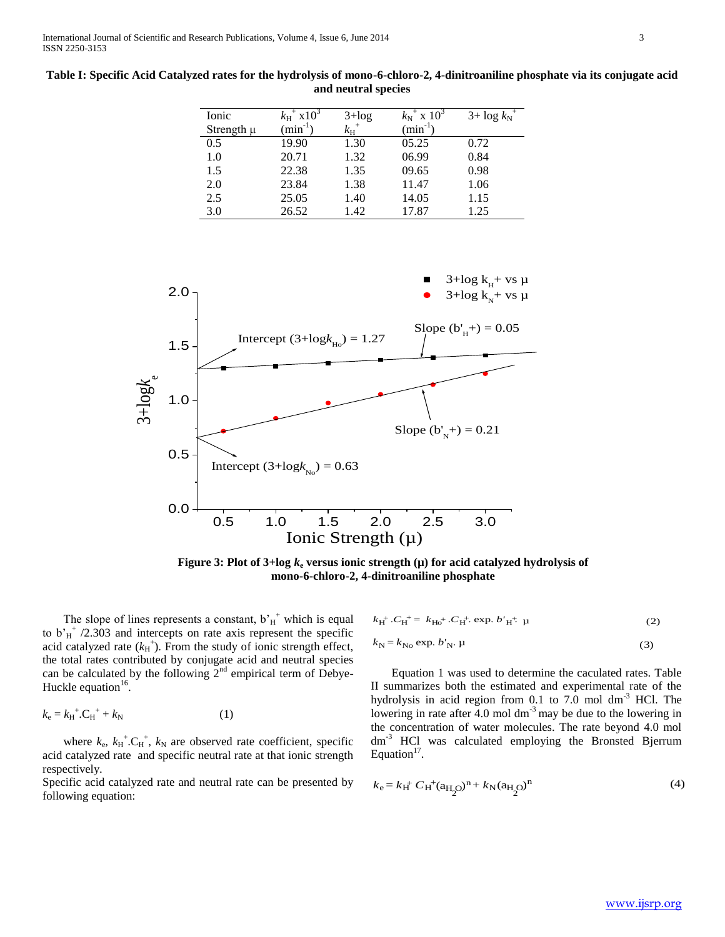| Ionic          | $k_{\rm H}^{+}$ x10 <sup>3</sup> | $3 + log$                | $k_{\rm N}^{2}$ x $10^{3}$ | $3 + \log k_N^+$ |
|----------------|----------------------------------|--------------------------|----------------------------|------------------|
| Strength $\mu$ | $(min^{-1})$                     | $k_{\rm H}$ <sup>+</sup> | $(min^{-1})$               |                  |
| 0.5            | 19.90                            | 1.30                     | 05.25                      | 0.72             |
| 1.0            | 20.71                            | 1.32                     | 06.99                      | 0.84             |
| 1.5            | 22.38                            | 1.35                     | 09.65                      | 0.98             |
| 2.0            | 23.84                            | 1.38                     | 11.47                      | 1.06             |
| 2.5            | 25.05                            | 1.40                     | 14.05                      | 1.15             |
| 3.0            | 26.52                            | 1.42                     | 17.87                      | 1.25             |

**Table I: Specific Acid Catalyzed rates for the hydrolysis of mono-6-chloro-2, 4-dinitroaniline phosphate via its conjugate acid and neutral species**



**Figure 3: Plot of 3+log**  $k_e$  **versus ionic strength (** $\mu$ **) for acid catalyzed hydrolysis of mono-6-chloro-2, 4-dinitroaniline phosphate**

The slope of lines represents a constant,  $b_H^+$  which is equal to  $b'_H^{\dagger}$  /2.303 and intercepts on rate axis represent the specific acid catalyzed rate  $(k_H^+)$ . From the study of ionic strength effect, the total rates contributed by conjugate acid and neutral species can be calculated by the following  $2<sup>nd</sup>$  empirical term of Debye-Huckle equation $16$ .

$$
k_{\rm e} = k_{\rm H}^{+} . {\rm C}_{\rm H}^{+} + k_{\rm N} \tag{1}
$$

where  $k_e$ ,  $k_H^{\text{+}}$ . $C_H^{\text{+}}$ ,  $k_N$  are observed rate coefficient, specific acid catalyzed rate and specific neutral rate at that ionic strength respectively.

Specific acid catalyzed rate and neutral rate can be presented by following equation:

$$
k_{\rm H}^{+}.C_{\rm H}^{+} = k_{\rm H0}^{+}.C_{\rm H}^{+}. \exp. b'_{\rm H}^{+} \mu \tag{2}
$$

$$
k_{\rm N} = k_{\rm No} \exp. b_{\rm N}^{\prime} \cdot \mu \tag{3}
$$

 Equation 1 was used to determine the caculated rates. Table II summarizes both the estimated and experimental rate of the hydrolysis in acid region from 0.1 to  $7.\overline{0}$  mol dm<sup>-3</sup> HCl. The lowering in rate after 4.0 mol dm<sup>-3</sup> may be due to the lowering in the concentration of water molecules. The rate beyond 4.0 mol dm<sup>-3</sup> HCl was calculated employing the Bronsted Bjerrum Equation $17$ .

$$
k_{\rm e} = k_{\rm H}^{+} C_{\rm H}^{+} (a_{\rm H_2O})^{\rm n} + k_{\rm N} (a_{\rm H_2O})^{\rm n}
$$
 (4)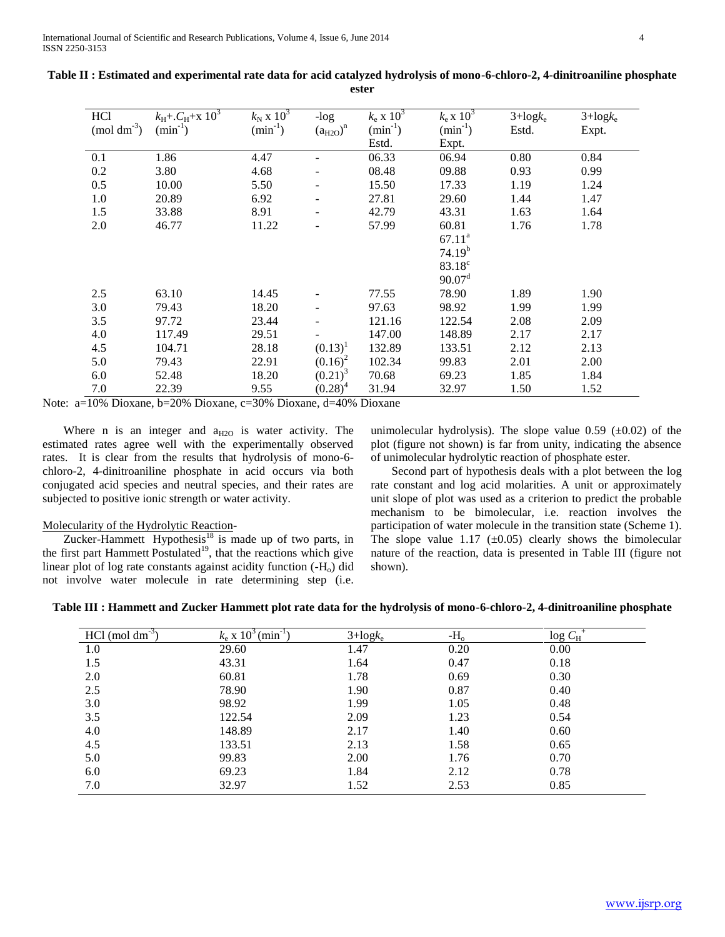International Journal of Scientific and Research Publications, Volume 4, Issue 6, June 2014 4 ISSN 2250-3153

| HC <sub>1</sub>  | $k_{\text{H}} + C_{\text{H}} + x \; 10^3$ | $k_N$ x $10^3$ | $-log$                   | $k_e \ge 10^3$ | $k_e$ x $10^3$     | $3 + \log k_e$ | $3 + log k_e$ |
|------------------|-------------------------------------------|----------------|--------------------------|----------------|--------------------|----------------|---------------|
| $\pmod{dm^{-3}}$ | $(min^{-1})$                              | $(min^{-1})$   | $(a_{H2O})^n$            | $(min^{-1})$   | $(min^{-1})$       | Estd.          | Expt.         |
|                  |                                           |                |                          | Estd.          | Expt.              |                |               |
|                  |                                           |                |                          |                |                    |                |               |
| 0.1              | 1.86                                      | 4.47           |                          | 06.33          | 06.94              | 0.80           | 0.84          |
| 0.2              | 3.80                                      | 4.68           | $\overline{\phantom{a}}$ | 08.48          | 09.88              | 0.93           | 0.99          |
| 0.5              | 10.00                                     | 5.50           |                          | 15.50          | 17.33              | 1.19           | 1.24          |
| 1.0              | 20.89                                     | 6.92           |                          | 27.81          | 29.60              | 1.44           | 1.47          |
| 1.5              | 33.88                                     | 8.91           | $\overline{\phantom{a}}$ | 42.79          | 43.31              | 1.63           | 1.64          |
| 2.0              | 46.77                                     | 11.22          |                          | 57.99          | 60.81              | 1.76           | 1.78          |
|                  |                                           |                |                          |                | $67.11^{\rm a}$    |                |               |
|                  |                                           |                |                          |                | $74.19^{b}$        |                |               |
|                  |                                           |                |                          |                | $83.18^c$          |                |               |
|                  |                                           |                |                          |                | 90.07 <sup>d</sup> |                |               |
| 2.5              | 63.10                                     | 14.45          |                          | 77.55          | 78.90              | 1.89           | 1.90          |
| 3.0              | 79.43                                     | 18.20          |                          | 97.63          | 98.92              | 1.99           | 1.99          |
| 3.5              | 97.72                                     | 23.44          |                          | 121.16         | 122.54             | 2.08           | 2.09          |
| 4.0              | 117.49                                    | 29.51          |                          | 147.00         | 148.89             | 2.17           | 2.17          |
| 4.5              | 104.71                                    | 28.18          | $(0.13)^1$               | 132.89         | 133.51             | 2.12           | 2.13          |
| 5.0              | 79.43                                     | 22.91          | $(0.16)^2$               | 102.34         | 99.83              | 2.01           | 2.00          |
| 6.0              | 52.48                                     | 18.20          | $(0.21)^3$               | 70.68          | 69.23              | 1.85           | 1.84          |
| 7.0              | 22.39                                     | 9.55           | $(0.28)^4$               | 31.94          | 32.97              | 1.50           | 1.52          |

| Table II : Estimated and experimental rate data for acid catalyzed hydrolysis of mono-6-chloro-2, 4-dinitroaniline phosphate |
|------------------------------------------------------------------------------------------------------------------------------|
| ester                                                                                                                        |

Note: a=10% Dioxane, b=20% Dioxane, c=30% Dioxane, d=40% Dioxane

Where n is an integer and  $a_{H2O}$  is water activity. The estimated rates agree well with the experimentally observed rates. It is clear from the results that hydrolysis of mono-6 chloro-2, 4-dinitroaniline phosphate in acid occurs via both conjugated acid species and neutral species, and their rates are subjected to positive ionic strength or water activity.

## Molecularity of the Hydrolytic Reaction*-*

Zucker-Hammett Hypothesis<sup>18</sup> is made up of two parts, in the first part Hammett Postulated<sup>19</sup>, that the reactions which give linear plot of log rate constants against acidity function  $(-H_0)$  did not involve water molecule in rate determining step (i.e.

unimolecular hydrolysis). The slope value  $0.59$  ( $\pm 0.02$ ) of the plot (figure not shown) is far from unity, indicating the absence of unimolecular hydrolytic reaction of phosphate ester.

 Second part of hypothesis deals with a plot between the log rate constant and log acid molarities. A unit or approximately unit slope of plot was used as a criterion to predict the probable mechanism to be bimolecular, i.e. reaction involves the participation of water molecule in the transition state (Scheme 1). The slope value 1.17  $(\pm 0.05)$  clearly shows the bimolecular nature of the reaction, data is presented in Table III (figure not shown).

| Table III : Hammett and Zucker Hammett plot rate data for the hydrolysis of mono-6-chloro-2, 4-dinitroaniline phosphate |  |  |
|-------------------------------------------------------------------------------------------------------------------------|--|--|
|                                                                                                                         |  |  |

| $HC1$ (mol dm <sup>-3</sup> ) | $k_e$ x 10 <sup>3</sup> (min <sup>-1</sup> ) | $3 + log k_e$ | $-Ho$ | $\log C_H^+$ |
|-------------------------------|----------------------------------------------|---------------|-------|--------------|
| 1.0                           | 29.60                                        | 1.47          | 0.20  | 0.00         |
| 1.5                           | 43.31                                        | 1.64          | 0.47  | 0.18         |
| 2.0                           | 60.81                                        | 1.78          | 0.69  | 0.30         |
| 2.5                           | 78.90                                        | 1.90          | 0.87  | 0.40         |
| 3.0                           | 98.92                                        | 1.99          | 1.05  | 0.48         |
| 3.5                           | 122.54                                       | 2.09          | 1.23  | 0.54         |
| 4.0                           | 148.89                                       | 2.17          | 1.40  | 0.60         |
| 4.5                           | 133.51                                       | 2.13          | 1.58  | 0.65         |
| 5.0                           | 99.83                                        | 2.00          | 1.76  | 0.70         |
| 6.0                           | 69.23                                        | 1.84          | 2.12  | 0.78         |
| 7.0                           | 32.97                                        | 1.52          | 2.53  | 0.85         |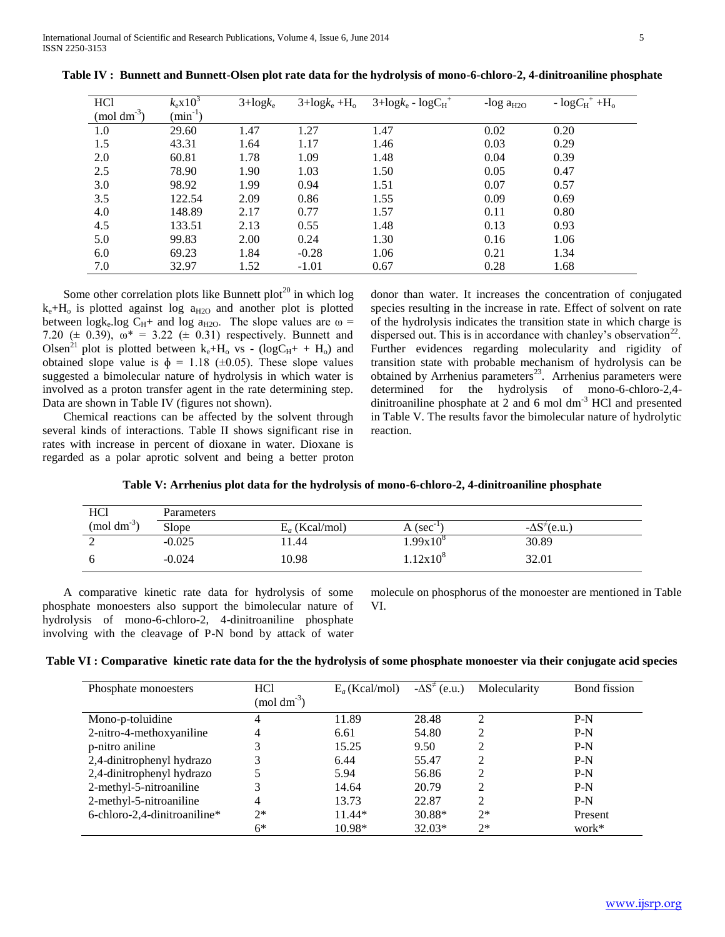| HC <sub>1</sub>  | $k_{\rm e}$ x $10^3$ | $3 + \log k_e$ | $3 + \log k_e + H_o$ | $3 + \log k_e - \log C_H^+$ | -log $a_{H2O}$ | $-\log C_H^+ + H_o^-$ |
|------------------|----------------------|----------------|----------------------|-----------------------------|----------------|-----------------------|
| $\pmod{dm^{-3}}$ | $\text{min}^{-1}$ )  |                |                      |                             |                |                       |
| 1.0              | 29.60                | 1.47           | 1.27                 | 1.47                        | 0.02           | 0.20                  |
| 1.5              | 43.31                | 1.64           | 1.17                 | 1.46                        | 0.03           | 0.29                  |
| 2.0              | 60.81                | 1.78           | 1.09                 | 1.48                        | 0.04           | 0.39                  |
| 2.5              | 78.90                | 1.90           | 1.03                 | 1.50                        | 0.05           | 0.47                  |
| 3.0              | 98.92                | 1.99           | 0.94                 | 1.51                        | 0.07           | 0.57                  |
| 3.5              | 122.54               | 2.09           | 0.86                 | 1.55                        | 0.09           | 0.69                  |
| 4.0              | 148.89               | 2.17           | 0.77                 | 1.57                        | 0.11           | 0.80                  |
| 4.5              | 133.51               | 2.13           | 0.55                 | 1.48                        | 0.13           | 0.93                  |
| 5.0              | 99.83                | 2.00           | 0.24                 | 1.30                        | 0.16           | 1.06                  |
| 6.0              | 69.23                | 1.84           | $-0.28$              | 1.06                        | 0.21           | 1.34                  |
| 7.0              | 32.97                | 1.52           | $-1.01$              | 0.67                        | 0.28           | 1.68                  |

**Table IV : Bunnett and Bunnett-Olsen plot rate data for the hydrolysis of mono-6-chloro-2, 4-dinitroaniline phosphate**

Some other correlation plots like Bunnett plot<sup>20</sup> in which log  $k_e+H_o$  is plotted against log  $a_{H2O}$  and another plot is plotted between logk<sub>e</sub>.log C<sub>H</sub>+ and log a<sub>H2O</sub>. The slope values are  $\omega$  = 7.20 ( $\pm$  0.39),  $\omega^* = 3.22$  ( $\pm$  0.31) respectively. Bunnett and Olsen<sup>21</sup> plot is plotted between  $k_e+H_o$  vs - (logC<sub>H</sub>+ + H<sub>o</sub>) and obtained slope value is  $\phi = 1.18 \ (\pm 0.05)$ . These slope values suggested a bimolecular nature of hydrolysis in which water is involved as a proton transfer agent in the rate determining step. Data are shown in Table IV (figures not shown).

 Chemical reactions can be affected by the solvent through several kinds of interactions. Table II shows significant rise in rates with increase in percent of dioxane in water. Dioxane is regarded as a polar aprotic solvent and being a better proton donor than water. It increases the concentration of conjugated species resulting in the increase in rate. Effect of solvent on rate of the hydrolysis indicates the transition state in which charge is dispersed out. This is in accordance with chanley's observation<sup>22</sup>. Further evidences regarding molecularity and rigidity of transition state with probable mechanism of hydrolysis can be obtained by Arrhenius parameters<sup>23</sup>. Arrhenius parameters were determined for the hydrolysis of mono-6-chloro-2,4 dinitroaniline phosphate at 2 and 6 mol  $dm^{-3}$  HCl and presented in Table V. The results favor the bimolecular nature of hydrolytic reaction.

|  |  |  |  |  | Table V: Arrhenius plot data for the hydrolysis of mono-6-chloro-2, 4-dinitroaniline phosphate |  |
|--|--|--|--|--|------------------------------------------------------------------------------------------------|--|
|--|--|--|--|--|------------------------------------------------------------------------------------------------|--|

| HC <sub>1</sub>          | Parameters |                  |                |                           |
|--------------------------|------------|------------------|----------------|---------------------------|
| $(mod \text{ } dm^{-3})$ | Slope      | $E_a$ (Kcal/mol) | $A (sec^{-1})$ | $-\Delta S^{\neq}$ (e.u.) |
| ∸                        | $-0.025$   | 1.44             | .99 $x10^8$    | 30.89                     |
|                          | $-0.024$   | 10.98            | $1.12x10^{8}$  | 32.01                     |

 A comparative kinetic rate data for hydrolysis of some phosphate monoesters also support the bimolecular nature of hydrolysis of mono-6-chloro-2, 4-dinitroaniline phosphate involving with the cleavage of P-N bond by attack of water

molecule on phosphorus of the monoester are mentioned in Table VI.

|  | Table VI : Comparative kinetic rate data for the the hydrolysis of some phosphate monoester via their conjugate acid species |  |  |  |
|--|------------------------------------------------------------------------------------------------------------------------------|--|--|--|
|  |                                                                                                                              |  |  |  |

| Phosphate monoesters         | HC <sub>1</sub><br>$(mod \text{ dm}^{3})$ | $E_a$ (Kcal/mol) | $-\Delta S^{\neq}$ (e.u.) | Molecularity   | Bond fission |
|------------------------------|-------------------------------------------|------------------|---------------------------|----------------|--------------|
| Mono-p-toluidine             | 4                                         | 11.89            | 28.48                     | $\mathfrak{D}$ | $P-N$        |
| 2-nitro-4-methoxyaniline     | 4                                         | 6.61             | 54.80                     | 2              | $P-N$        |
| p-nitro aniline              |                                           | 15.25            | 9.50                      | $\overline{c}$ | $P-N$        |
| 2,4-dinitrophenyl hydrazo    | 3                                         | 6.44             | 55.47                     | $\overline{c}$ | $P-N$        |
| 2,4-dinitrophenyl hydrazo    |                                           | 5.94             | 56.86                     | 2              | $P-N$        |
| 2-methyl-5-nitroaniline      |                                           | 14.64            | 20.79                     |                | $P-N$        |
| 2-methyl-5-nitroaniline      | 4                                         | 13.73            | 22.87                     | $\overline{c}$ | $P-N$        |
| 6-chloro-2,4-dinitroaniline* | $2*$                                      | $11.44*$         | 30.88*                    | $2*$           | Present      |
|                              | 6*                                        | 10.98*           | $32.03*$                  | $2*$           | work*        |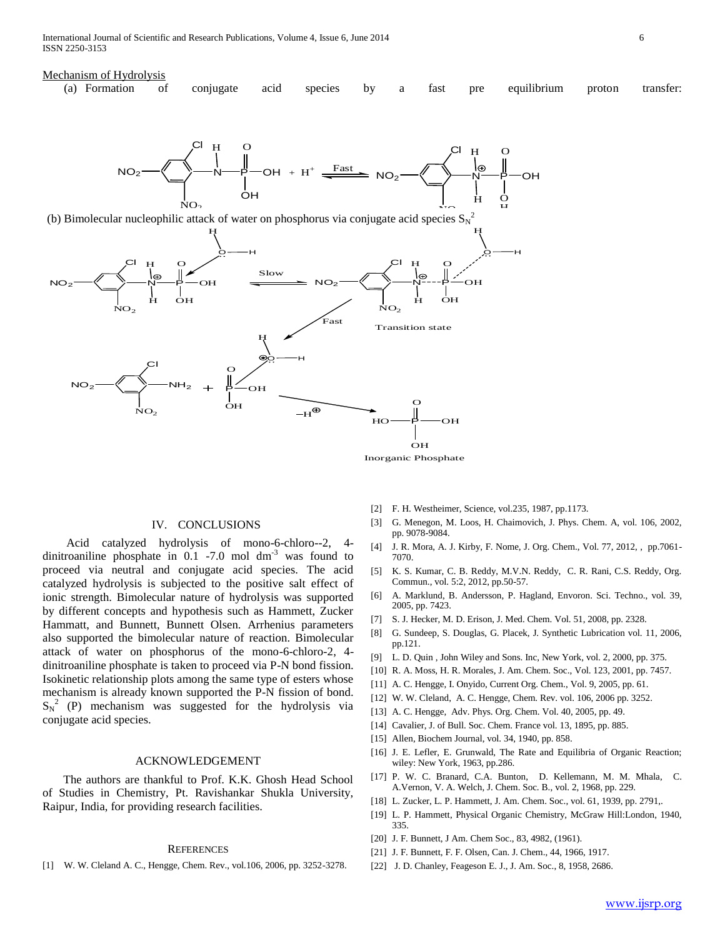#### Mechanism of Hydrolysis

| (a) Formation of conjugate acid species by a fast pre equilibrium proton transfer: |  |  |  |  |  |  |
|------------------------------------------------------------------------------------|--|--|--|--|--|--|
|                                                                                    |  |  |  |  |  |  |



### IV. CONCLUSIONS

 Acid catalyzed hydrolysis of mono-6-chloro--2, 4 dinitroaniline phosphate in  $0.1$  -7.0 mol dm<sup>-3</sup> was found to proceed via neutral and conjugate acid species. The acid catalyzed hydrolysis is subjected to the positive salt effect of ionic strength. Bimolecular nature of hydrolysis was supported by different concepts and hypothesis such as Hammett, Zucker Hammatt, and Bunnett, Bunnett Olsen. Arrhenius parameters also supported the bimolecular nature of reaction. Bimolecular attack of water on phosphorus of the mono-6-chloro-2, 4 dinitroaniline phosphate is taken to proceed via P-N bond fission. Isokinetic relationship plots among the same type of esters whose mechanism is already known supported the P-N fission of bond.  $S_N^2$  (P) mechanism was suggested for the hydrolysis via conjugate acid species.

## ACKNOWLEDGEMENT

 The authors are thankful to Prof. K.K. Ghosh Head School of Studies in Chemistry, Pt. Ravishankar Shukla University, Raipur, India, for providing research facilities.

#### **REFERENCES**

[1] W. W. Cleland A. C., Hengge, Chem. Rev., vol.106, 2006, pp. 3252-3278.

- [2] F. H. Westheimer, Science, vol.235, 1987, pp.1173.
- [3] G. Menegon, M. Loos, H. Chaimovich, J. Phys. Chem. A, vol. 106, 2002, pp. 9078-9084.
- [4] J. R. Mora, A. J. Kirby, F. Nome, J. Org. Chem., Vol. 77, 2012, , pp.7061- 7070.
- [5] K. S. Kumar, C. B. Reddy, M.V.N. Reddy, C. R. Rani, C.S. Reddy, Org. Commun., vol. 5:2, 2012, pp.50-57.
- [6] A. Marklund, B. Andersson, P. Hagland, Envoron. Sci. Techno., vol. 39, 2005, pp. 7423.
- [7] S. J. Hecker, M. D. Erison, J. Med. Chem. Vol. 51, 2008, pp. 2328.
- [8] G. Sundeep, S. Douglas, G. Placek, J. Synthetic Lubrication vol. 11, 2006, pp.121.
- [9] L. D. Quin , John Wiley and Sons. Inc, New York, vol. 2, 2000, pp. 375.
- [10] R. A. Moss, H. R. Morales, J. Am. Chem. Soc., Vol. 123, 2001, pp. 7457.
- [11] A. C. Hengge, I. Onyido, Current Org. Chem., Vol. 9, 2005, pp. 61.
- [12] W. W. Cleland, A. C. Hengge, Chem. Rev. vol. 106, 2006 pp. 3252.
- [13] A. C. Hengge, Adv. Phys. Org. Chem. Vol. 40, 2005, pp. 49.
- [14] Cavalier, J. of Bull. Soc. Chem. France vol. 13, 1895, pp. 885.
- [15] Allen, Biochem Journal, vol. 34, 1940, pp. 858.
- [16] J. E. Lefler, E. Grunwald, The Rate and Equilibria of Organic Reaction; wiley: New York, 1963, pp.286.
- [17] P. W. C. Branard, C.A. Bunton, D. Kellemann, M. M. Mhala, C. A.Vernon, V. A. Welch, J. Chem. Soc. B., vol. 2, 1968, pp. 229.
- [18] L. Zucker, L. P. Hammett, J. Am. Chem. Soc., vol. 61, 1939, pp. 2791,.
- [19] L. P. Hammett, Physical Organic Chemistry, McGraw Hill:London, 1940, 335.
- [20] J. F. Bunnett, J Am. Chem Soc., 83, 4982, (1961).
- [21] J. F. Bunnett, F. F. Olsen, Can. J. Chem., 44, 1966, 1917.
- [22] J. D. Chanley, Feageson E. J., J. Am. Soc., 8, 1958, 2686.